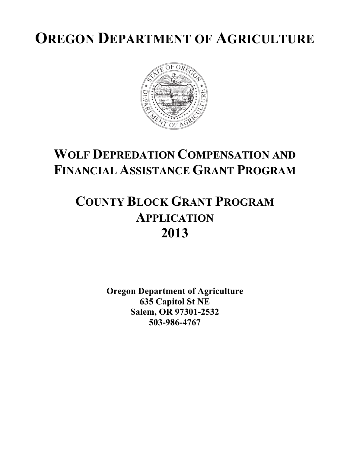# **OREGON DEPARTMENT OF AGRICULTURE**



# **WOLF DEPREDATION COMPENSATION AND FINANCIAL ASSISTANCE GRANT PROGRAM**

# **COUNTY BLOCK GRANT PROGRAM APPLICATION 2013**

**Oregon Department of Agriculture 635 Capitol St NE Salem, OR 97301-2532 503-986-4767**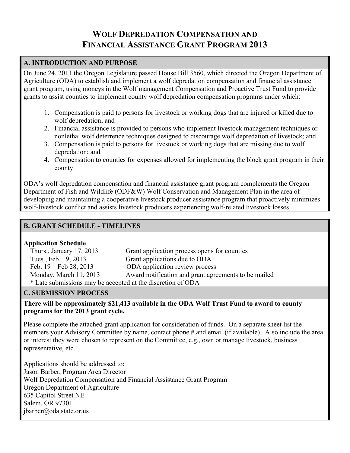# **WOLF DEPREDATION COMPENSATION AND FINANCIAL ASSISTANCE GRANT PROGRAM 2013**

### **A. INTRODUCTION AND PURPOSE**

On June 24, 2011 the Oregon Legislature passed House Bill 3560, which directed the Oregon Department of Agriculture (ODA) to establish and implement a wolf depredation compensation and financial assistance grant program, using moneys in the Wolf management Compensation and Proactive Trust Fund to provide grants to assist counties to implement county wolf depredation compensation programs under which:

- 1. Compensation is paid to persons for livestock or working dogs that are injured or killed due to wolf depredation; and
- 2. Financial assistance is provided to persons who implement livestock management techniques or nonlethal wolf deterrence techniques designed to discourage wolf depredation of livestock; and
- 3. Compensation is paid to persons for livestock or working dogs that are missing due to wolf depredation; and
- 4. Compensation to counties for expenses allowed for implementing the block grant program in their county.

ODA's wolf depredation compensation and financial assistance grant program complements the Oregon Department of Fish and Wildlife (ODF&W) Wolf Conservation and Management Plan in the area of developing and maintaining a cooperative livestock producer assistance program that proactively minimizes wolf-livestock conflict and assists livestock producers experiencing wolf-related livestock losses.

### **B. GRANT SCHEDULE - TIMELINES**

#### **Application Schedule**

| Thurs., January 17, 2013                                    | Grant application process opens for counties         |  |  |  |
|-------------------------------------------------------------|------------------------------------------------------|--|--|--|
| Tues., Feb. 19, 2013                                        | Grant applications due to ODA                        |  |  |  |
| Feb. $19 - \text{Feb } 28, 2013$                            | ODA application review process                       |  |  |  |
| Monday, March 11, 2013                                      | Award notification and grant agreements to be mailed |  |  |  |
| * Late submissions may be accepted at the discretion of ODA |                                                      |  |  |  |
|                                                             |                                                      |  |  |  |

#### **C. SUBMISSION PROCESS**

#### **There will be approximately \$21,413 available in the ODA Wolf Trust Fund to award to county programs for the 2013 grant cycle.**

Please complete the attached grant application for consideration of funds. On a separate sheet list the members your Advisory Committee by name, contact phone # and email (if available). Also include the area or interest they were chosen to represent on the Committee, e.g., own or manage livestock, business representative, etc.

Applications should be addressed to: Jason Barber, Program Area Director Wolf Depredation Compensation and Financial Assistance Grant Program Oregon Department of Agriculture 635 Capitol Street NE Salem, OR 97301 jbarber@oda.state.or.us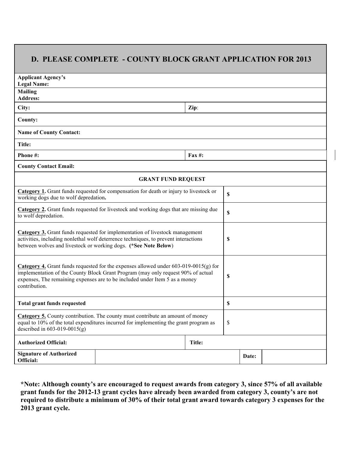## **D. PLEASE COMPLETE - COUNTY BLOCK GRANT APPLICATION FOR 2013**

| <b>Applicant Agency's</b><br><b>Legal Name:</b>                                                                                                                                                                                                                                   |        |        |                           |  |  |  |
|-----------------------------------------------------------------------------------------------------------------------------------------------------------------------------------------------------------------------------------------------------------------------------------|--------|--------|---------------------------|--|--|--|
| <b>Mailing</b><br><b>Address:</b>                                                                                                                                                                                                                                                 |        |        |                           |  |  |  |
| City:                                                                                                                                                                                                                                                                             | Zip:   |        |                           |  |  |  |
| County:                                                                                                                                                                                                                                                                           |        |        |                           |  |  |  |
| <b>Name of County Contact:</b>                                                                                                                                                                                                                                                    |        |        |                           |  |  |  |
| Title:                                                                                                                                                                                                                                                                            |        |        |                           |  |  |  |
| Phone #:                                                                                                                                                                                                                                                                          | Fax #: |        |                           |  |  |  |
| <b>County Contact Email:</b>                                                                                                                                                                                                                                                      |        |        |                           |  |  |  |
| <b>GRANT FUND REQUEST</b>                                                                                                                                                                                                                                                         |        |        |                           |  |  |  |
| Category 1. Grant funds requested for compensation for death or injury to livestock or<br>working dogs due to wolf depredation.                                                                                                                                                   |        |        | $\boldsymbol{\mathsf{S}}$ |  |  |  |
| Category 2. Grant funds requested for livestock and working dogs that are missing due<br>to wolf depredation.                                                                                                                                                                     |        |        | \$                        |  |  |  |
| Category 3. Grant funds requested for implementation of livestock management<br>activities, including nonlethal wolf deterrence techniques, to prevent interactions<br>between wolves and livestock or working dogs. (*See Note Below)                                            |        |        | \$                        |  |  |  |
| <b>Category 4.</b> Grant funds requested for the expenses allowed under $603-019-0015(g)$ for<br>implementation of the County Block Grant Program (may only request 90% of actual<br>expenses, The remaining expenses are to be included under Item 5 as a money<br>contribution. |        |        | \$                        |  |  |  |
| <b>Total grant funds requested</b>                                                                                                                                                                                                                                                |        |        | \$                        |  |  |  |
| Category 5. County contribution. The county must contribute an amount of money<br>equal to 10% of the total expenditures incurred for implementing the grant program as<br>described in $603-019-0015(g)$                                                                         |        |        | \$                        |  |  |  |
| <b>Authorized Official:</b>                                                                                                                                                                                                                                                       |        | Title: |                           |  |  |  |
| <b>Signature of Authorized</b><br>Official:                                                                                                                                                                                                                                       |        | Date:  |                           |  |  |  |

**\*Note: Although county's are encouraged to request awards from category 3, since 57% of all available grant funds for the 2012-13 grant cycles have already been awarded from category 3, county's are not required to distribute a minimum of 30% of their total grant award towards category 3 expenses for the 2013 grant cycle.**